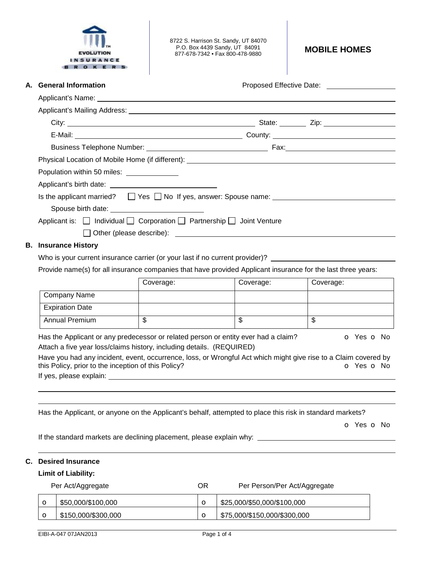

8722 S. Harrison St. Sandy, UT 84070 P.O. Box 4439 Sandy, UT 84091 877-678-7342 • Fax 800-478-9880 **MOBILE HOMES** 

| A. General Information                                                                                                  |                         |                         | Proposed Effective Date: _________________ |  |  |
|-------------------------------------------------------------------------------------------------------------------------|-------------------------|-------------------------|--------------------------------------------|--|--|
| Applicant's Name: <u>contract and a series of the series of the series of the series of the series of the series of</u> |                         |                         |                                            |  |  |
|                                                                                                                         |                         |                         |                                            |  |  |
|                                                                                                                         |                         |                         |                                            |  |  |
|                                                                                                                         |                         |                         |                                            |  |  |
|                                                                                                                         |                         |                         |                                            |  |  |
|                                                                                                                         |                         |                         |                                            |  |  |
| Population within 50 miles: ______________                                                                              |                         |                         |                                            |  |  |
| Applicant's birth date: Applicant's birth date:                                                                         |                         |                         |                                            |  |  |
| Is the applicant married? $\Box$ Yes $\Box$ No If yes, answer: Spouse name:                                             |                         |                         |                                            |  |  |
|                                                                                                                         |                         |                         |                                            |  |  |
| Applicant is: □ Individual □ Corporation □ Partnership □ Joint Venture                                                  |                         |                         |                                            |  |  |
|                                                                                                                         |                         |                         |                                            |  |  |
| <b>B.</b> Insurance History                                                                                             |                         |                         |                                            |  |  |
| Who is your current insurance carrier (or your last if no current provider)?                                            |                         |                         |                                            |  |  |
|                                                                                                                         |                         |                         |                                            |  |  |
| Provide name(s) for all insurance companies that have provided Applicant insurance for the last three years:            |                         |                         |                                            |  |  |
|                                                                                                                         | Coverage:               | Coverage:               | Coverage:                                  |  |  |
| Company Name                                                                                                            |                         |                         |                                            |  |  |
| <b>Expiration Date</b>                                                                                                  |                         |                         |                                            |  |  |
| Annual Premium                                                                                                          | $\overline{\mathbb{S}}$ | $\overline{\mathbb{S}}$ | $\overline{\mathbb{S}}$                    |  |  |

o Yes o No

If the standard markets are declining placement, please explain why: \_\_\_\_\_\_\_\_\_\_\_\_\_\_\_\_\_\_

## **C. Desired Insurance**

**Limit of Liability:** 

|         | Per Act/Aggregate   | ΟR | Per Person/Per Act/Aggregate |
|---------|---------------------|----|------------------------------|
| $\circ$ | \$50,000/\$100,000  |    | \$25,000/\$50,000/\$100,000  |
|         | \$150,000/\$300,000 |    | \$75,000/\$150,000/\$300,000 |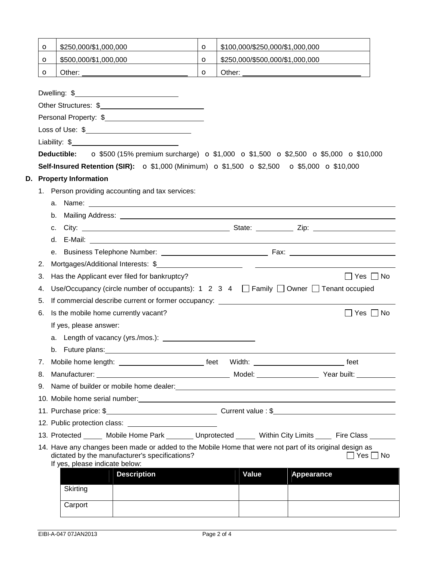|                                                                                                                                                                                                                               | $\mathbf o$ | \$250,000/\$1,000,000                                                                                    |                                                                                                                                                                                                                                | $\circ$                                                                                                                                               |        | \$100,000/\$250,000/\$1,000,000 |            |                      |  |
|-------------------------------------------------------------------------------------------------------------------------------------------------------------------------------------------------------------------------------|-------------|----------------------------------------------------------------------------------------------------------|--------------------------------------------------------------------------------------------------------------------------------------------------------------------------------------------------------------------------------|-------------------------------------------------------------------------------------------------------------------------------------------------------|--------|---------------------------------|------------|----------------------|--|
|                                                                                                                                                                                                                               | $\circ$     | \$500,000/\$1,000,000                                                                                    |                                                                                                                                                                                                                                | $\circ$                                                                                                                                               |        | \$250,000/\$500,000/\$1,000,000 |            |                      |  |
|                                                                                                                                                                                                                               | $\circ$     |                                                                                                          |                                                                                                                                                                                                                                | $\circ$                                                                                                                                               | Other: |                                 |            |                      |  |
|                                                                                                                                                                                                                               |             |                                                                                                          |                                                                                                                                                                                                                                |                                                                                                                                                       |        |                                 |            |                      |  |
|                                                                                                                                                                                                                               |             |                                                                                                          |                                                                                                                                                                                                                                |                                                                                                                                                       |        |                                 |            |                      |  |
|                                                                                                                                                                                                                               |             |                                                                                                          |                                                                                                                                                                                                                                |                                                                                                                                                       |        |                                 |            |                      |  |
|                                                                                                                                                                                                                               |             |                                                                                                          | Personal Property: \$                                                                                                                                                                                                          |                                                                                                                                                       |        |                                 |            |                      |  |
|                                                                                                                                                                                                                               |             |                                                                                                          | Loss of Use: \$                                                                                                                                                                                                                |                                                                                                                                                       |        |                                 |            |                      |  |
|                                                                                                                                                                                                                               |             |                                                                                                          |                                                                                                                                                                                                                                |                                                                                                                                                       |        |                                 |            |                      |  |
|                                                                                                                                                                                                                               |             |                                                                                                          |                                                                                                                                                                                                                                | <b>Deductible:</b> $\bullet$ \$500 (15% premium surcharge) $\bullet$ \$1,000 $\bullet$ \$1,500 $\bullet$ \$2,500 $\bullet$ \$5,000 $\bullet$ \$10,000 |        |                                 |            |                      |  |
|                                                                                                                                                                                                                               |             |                                                                                                          | <b>Self-Insured Retention (SIR):</b> $\sigma$ \$1,000 (Minimum) $\sigma$ \$1,500 $\sigma$ \$2,500 $\sigma$ \$5,000 $\sigma$ \$10,000                                                                                           |                                                                                                                                                       |        |                                 |            |                      |  |
|                                                                                                                                                                                                                               |             | D. Property Information                                                                                  |                                                                                                                                                                                                                                |                                                                                                                                                       |        |                                 |            |                      |  |
|                                                                                                                                                                                                                               |             |                                                                                                          | 1. Person providing accounting and tax services:                                                                                                                                                                               |                                                                                                                                                       |        |                                 |            |                      |  |
|                                                                                                                                                                                                                               |             |                                                                                                          |                                                                                                                                                                                                                                |                                                                                                                                                       |        |                                 |            |                      |  |
|                                                                                                                                                                                                                               |             | b.                                                                                                       | Mailing Address: National Address: National Address: National Address: National Address: National Address: National Address: National Address: National Address: National Address: National Address: National Address: Nationa |                                                                                                                                                       |        |                                 |            |                      |  |
|                                                                                                                                                                                                                               |             | C.                                                                                                       |                                                                                                                                                                                                                                |                                                                                                                                                       |        |                                 |            |                      |  |
|                                                                                                                                                                                                                               |             | d.                                                                                                       |                                                                                                                                                                                                                                |                                                                                                                                                       |        |                                 |            |                      |  |
|                                                                                                                                                                                                                               |             |                                                                                                          |                                                                                                                                                                                                                                |                                                                                                                                                       |        |                                 |            |                      |  |
|                                                                                                                                                                                                                               | 2.          |                                                                                                          |                                                                                                                                                                                                                                |                                                                                                                                                       |        |                                 |            |                      |  |
|                                                                                                                                                                                                                               | 3.          |                                                                                                          | Has the Applicant ever filed for bankruptcy?                                                                                                                                                                                   |                                                                                                                                                       |        |                                 |            | $\Box$ Yes $\Box$ No |  |
| Use/Occupancy (circle number of occupants): $1 \quad 2 \quad 3 \quad 4 \quad \Box$ Family $\Box$ Owner $\Box$ Tenant occupied<br>4.<br>If commercial describe current or former occupancy: ____________________________<br>5. |             |                                                                                                          |                                                                                                                                                                                                                                |                                                                                                                                                       |        |                                 |            |                      |  |
|                                                                                                                                                                                                                               |             |                                                                                                          |                                                                                                                                                                                                                                |                                                                                                                                                       |        |                                 |            |                      |  |
|                                                                                                                                                                                                                               | 6.          | Is the mobile home currently vacant?                                                                     |                                                                                                                                                                                                                                |                                                                                                                                                       |        |                                 |            | $\Box$ Yes $\Box$ No |  |
|                                                                                                                                                                                                                               |             | If yes, please answer:                                                                                   |                                                                                                                                                                                                                                |                                                                                                                                                       |        |                                 |            |                      |  |
|                                                                                                                                                                                                                               |             |                                                                                                          |                                                                                                                                                                                                                                |                                                                                                                                                       |        |                                 |            |                      |  |
|                                                                                                                                                                                                                               |             |                                                                                                          | b. Future plans: example and a series of the series of the series of the series of the series of the series of the series of the series of the series of the series of the series of the series of the series of the series of |                                                                                                                                                       |        |                                 |            |                      |  |
|                                                                                                                                                                                                                               |             |                                                                                                          |                                                                                                                                                                                                                                |                                                                                                                                                       |        |                                 |            |                      |  |
|                                                                                                                                                                                                                               |             |                                                                                                          | 8. Manufacturer: Note and Model: Note and Model: Note and Year built:                                                                                                                                                          |                                                                                                                                                       |        |                                 |            |                      |  |
|                                                                                                                                                                                                                               |             |                                                                                                          |                                                                                                                                                                                                                                |                                                                                                                                                       |        |                                 |            |                      |  |
|                                                                                                                                                                                                                               |             |                                                                                                          | 10. Mobile home serial number: 10. Mobile home serial numbers and serial numbers of the series of the series of the series of the series of the series of the series of the series of the series of the series of the series o |                                                                                                                                                       |        |                                 |            |                      |  |
|                                                                                                                                                                                                                               |             |                                                                                                          |                                                                                                                                                                                                                                |                                                                                                                                                       |        |                                 |            |                      |  |
|                                                                                                                                                                                                                               |             |                                                                                                          |                                                                                                                                                                                                                                |                                                                                                                                                       |        |                                 |            |                      |  |
|                                                                                                                                                                                                                               |             |                                                                                                          | 13. Protected ______ Mobile Home Park ________ Unprotected ______ Within City Limits _____ Fire Class ______                                                                                                                   |                                                                                                                                                       |        |                                 |            |                      |  |
|                                                                                                                                                                                                                               |             | 14. Have any changes been made or added to the Mobile Home that were not part of its original design as  |                                                                                                                                                                                                                                |                                                                                                                                                       |        |                                 |            |                      |  |
|                                                                                                                                                                                                                               |             | dictated by the manufacturer's specifications?<br>$\Box$ Yes $\Box$ No<br>If yes, please indicate below: |                                                                                                                                                                                                                                |                                                                                                                                                       |        |                                 |            |                      |  |
|                                                                                                                                                                                                                               |             |                                                                                                          | <b>Description</b>                                                                                                                                                                                                             |                                                                                                                                                       |        | Value                           | Appearance |                      |  |
|                                                                                                                                                                                                                               |             | Skirting                                                                                                 |                                                                                                                                                                                                                                |                                                                                                                                                       |        |                                 |            |                      |  |
|                                                                                                                                                                                                                               |             |                                                                                                          |                                                                                                                                                                                                                                |                                                                                                                                                       |        |                                 |            |                      |  |
|                                                                                                                                                                                                                               |             | Carport                                                                                                  |                                                                                                                                                                                                                                |                                                                                                                                                       |        |                                 |            |                      |  |
|                                                                                                                                                                                                                               |             |                                                                                                          |                                                                                                                                                                                                                                |                                                                                                                                                       |        |                                 |            |                      |  |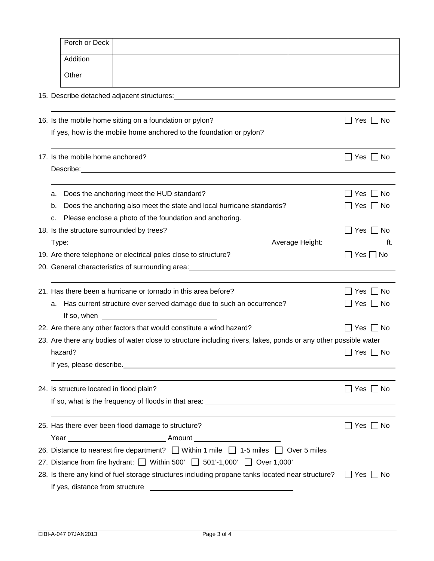|                                                                      | Porch or Deck                                                                                                                                                                                                                        |                      |  |  |  |  |  |
|----------------------------------------------------------------------|--------------------------------------------------------------------------------------------------------------------------------------------------------------------------------------------------------------------------------------|----------------------|--|--|--|--|--|
|                                                                      | Addition                                                                                                                                                                                                                             |                      |  |  |  |  |  |
|                                                                      |                                                                                                                                                                                                                                      |                      |  |  |  |  |  |
|                                                                      | Other                                                                                                                                                                                                                                |                      |  |  |  |  |  |
|                                                                      |                                                                                                                                                                                                                                      |                      |  |  |  |  |  |
|                                                                      |                                                                                                                                                                                                                                      |                      |  |  |  |  |  |
|                                                                      | 16. Is the mobile home sitting on a foundation or pylon?                                                                                                                                                                             | Yes    No            |  |  |  |  |  |
|                                                                      | If yes, how is the mobile home anchored to the foundation or pylon? ________________________________                                                                                                                                 |                      |  |  |  |  |  |
|                                                                      |                                                                                                                                                                                                                                      |                      |  |  |  |  |  |
|                                                                      | 17. Is the mobile home anchored?                                                                                                                                                                                                     | $\Box$ Yes $\Box$ No |  |  |  |  |  |
|                                                                      | Describe: <u>example and the contract of the contract of the contract of the contract of the contract of the contract of the contract of the contract of the contract of the contract of the contract of the contract of the con</u> |                      |  |  |  |  |  |
|                                                                      |                                                                                                                                                                                                                                      |                      |  |  |  |  |  |
|                                                                      | Does the anchoring meet the HUD standard?<br>а.                                                                                                                                                                                      | ∐ Yes ∐ No           |  |  |  |  |  |
|                                                                      | Does the anchoring also meet the state and local hurricane standards?<br>b.                                                                                                                                                          | $\Box$ Yes $\Box$ No |  |  |  |  |  |
|                                                                      | Please enclose a photo of the foundation and anchoring.<br>c.                                                                                                                                                                        |                      |  |  |  |  |  |
|                                                                      | 18. Is the structure surrounded by trees?                                                                                                                                                                                            | $\Box$ Yes $\Box$ No |  |  |  |  |  |
|                                                                      |                                                                                                                                                                                                                                      | tt.                  |  |  |  |  |  |
|                                                                      | 19. Are there telephone or electrical poles close to structure?                                                                                                                                                                      | $\Box$ Yes $\Box$ No |  |  |  |  |  |
|                                                                      |                                                                                                                                                                                                                                      |                      |  |  |  |  |  |
|                                                                      |                                                                                                                                                                                                                                      |                      |  |  |  |  |  |
|                                                                      | 21. Has there been a hurricane or tornado in this area before?                                                                                                                                                                       | _  Yes ∠ No          |  |  |  |  |  |
|                                                                      | a. Has current structure ever served damage due to such an occurrence?                                                                                                                                                               | $\Box$ Yes $\Box$ No |  |  |  |  |  |
|                                                                      |                                                                                                                                                                                                                                      | $\Box$ Yes $\Box$ No |  |  |  |  |  |
| 22. Are there any other factors that would constitute a wind hazard? |                                                                                                                                                                                                                                      |                      |  |  |  |  |  |
|                                                                      | 23. Are there any bodies of water close to structure including rivers, lakes, ponds or any other possible water<br>$\Box$ Yes $\Box$ No                                                                                              |                      |  |  |  |  |  |
|                                                                      | hazard?                                                                                                                                                                                                                              |                      |  |  |  |  |  |
|                                                                      |                                                                                                                                                                                                                                      |                      |  |  |  |  |  |
|                                                                      | 24. Is structure located in flood plain?                                                                                                                                                                                             | $\Box$ Yes $\Box$ No |  |  |  |  |  |
|                                                                      |                                                                                                                                                                                                                                      |                      |  |  |  |  |  |
|                                                                      |                                                                                                                                                                                                                                      |                      |  |  |  |  |  |
|                                                                      | 25. Has there ever been flood damage to structure?                                                                                                                                                                                   | $\Box$ Yes $\Box$ No |  |  |  |  |  |
|                                                                      |                                                                                                                                                                                                                                      |                      |  |  |  |  |  |
|                                                                      | 26. Distance to nearest fire department? Within 1 mile 1-5 miles 0 Over 5 miles                                                                                                                                                      |                      |  |  |  |  |  |
|                                                                      | 27. Distance from fire hydrant: $\Box$ Within 500' $\Box$ 501'-1,000' $\Box$ Over 1,000'                                                                                                                                             |                      |  |  |  |  |  |
|                                                                      | 28. Is there any kind of fuel storage structures including propane tanks located near structure?                                                                                                                                     | $\Box$ Yes $\Box$ No |  |  |  |  |  |
|                                                                      |                                                                                                                                                                                                                                      |                      |  |  |  |  |  |